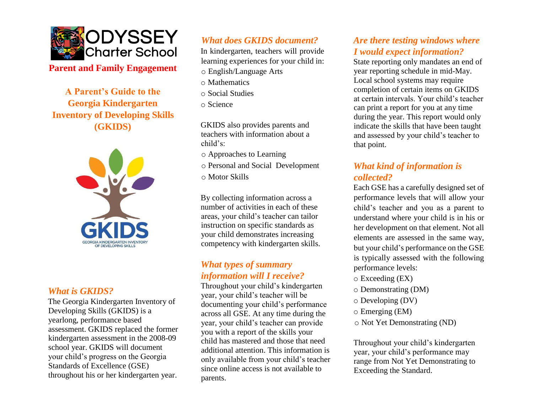

**Parent and Family Engagement**

**A Parent's Guide to the Georgia Kindergarten Inventory of Developing Skills (GKIDS)** 



#### *What is GKIDS?*

The Georgia Kindergarten Inventory of Developing Skills (GKIDS) is a yearlong, performance based assessment. GKIDS replaced the former kindergarten assessment in the 2008-09 school year. GKIDS will document your child's progress on the Georgia Standards of Excellence (GSE) throughout his or her kindergarten year.

# *What does GKIDS document?*

In kindergarten, teachers will provide learning experiences for your child in:

- o English/Language Arts
- o Mathematics
- o Social Studies
- o Science

GKIDS also provides parents and teachers with information about a child's:

o Approaches to Learning

- o Personal and Social Development
- o Motor Skills

By collecting information across a number of activities in each of these areas, your child's teacher can tailor instruction on specific standards as your child demonstrates increasing competency with kindergarten skills.

## *What types of summary information will I receive?*

Throughout your child's kindergarten year, your child's teacher will be documenting your child's performance across all GSE. At any time during the year, your child's teacher can provide you with a report of the skills your child has mastered and those that need additional attention. This information is only available from your child's teacher since online access is not available to parents.

# *Are there testing windows where I would expect information?*

State reporting only mandates an end of year reporting schedule in mid-May. Local school systems may require completion of certain items on GKIDS at certain intervals. Your child's teacher can print a report for you at any time during the year. This report would only indicate the skills that have been taught and assessed by your child's teacher to that point.

# *What kind of information is collected?*

Each GSE has a carefully designed set of performance levels that will allow your child's teacher and you as a parent to understand where your child is in his or her development on that element. Not all elements are assessed in the same way, but your child's performance on the GSE is typically assessed with the following performance levels:

- o Exceeding (EX)
- o Demonstrating (DM)
- o Developing (DV)
- o Emerging (EM)
- o Not Yet Demonstrating (ND)

Throughout your child's kindergarten year, your child's performance may range from Not Yet Demonstrating to Exceeding the Standard.